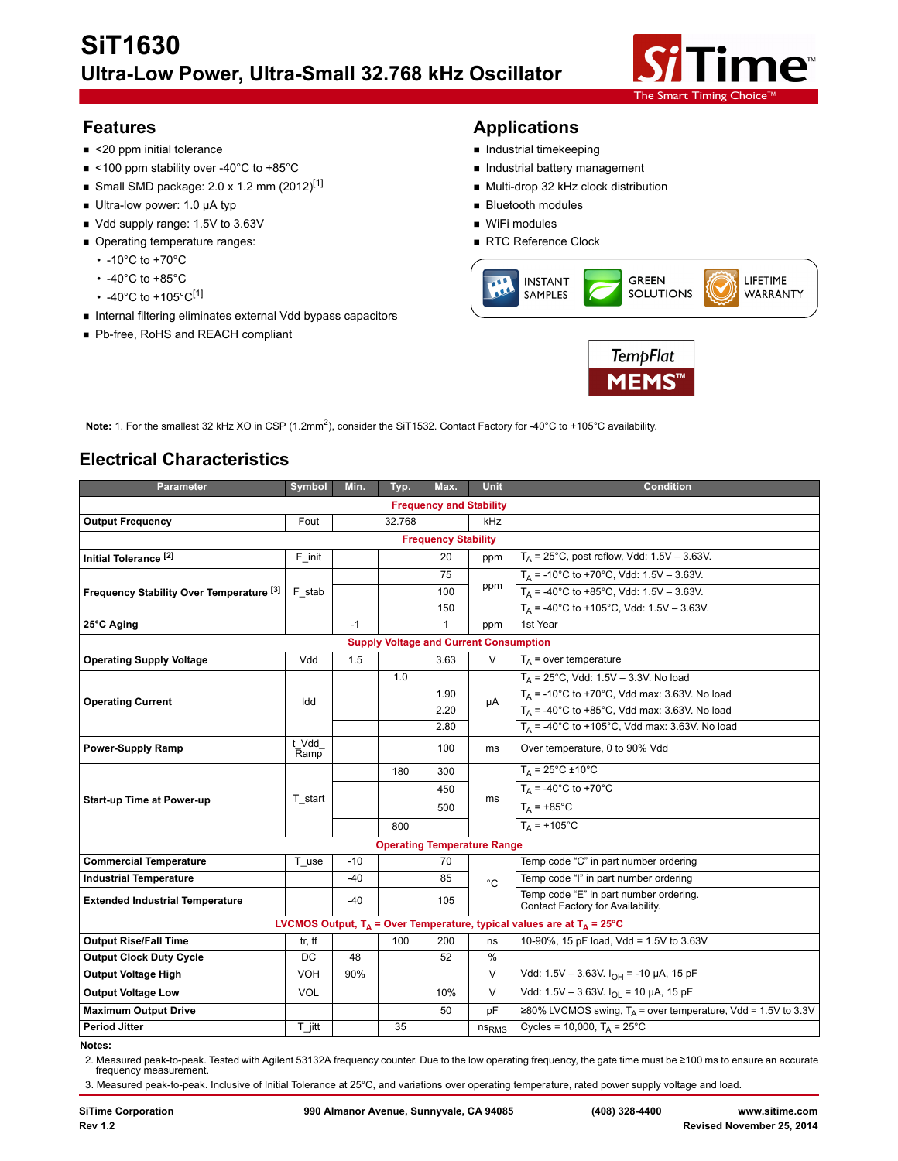

- <20 ppm initial tolerance **Industrial time and the set of the set of the set of the set of the set of the set of the set of the set of the set of the set of the set of the set of the set of the set of the set of the set**
- <100 ppm stability over -40°C to +85°C **Industrial battery management**
- Small SMD package: 2.0 x 1.2 mm  $(2012)^{[1]}$  Multi-drop 32 kHz clock distribution
- Ultra-low power: 1.0 µA typ b Bluetooth modules
- Vdd supply range: 1.5V to 3.63V WiFi modules
- Operating temperature ranges: and a metal of the RTC Reference Clock
	- -10°C to +70°C
	- -40°C to +85°C
	- -40°C to +105°C<sup>[1]</sup>
- **Internal filtering eliminates external Vdd bypass capacitors**
- Pb-free, RoHS and REACH compliant

# **Features Applications**

- 
- 
- 
- 
- 
- 





**Note:** 1. For the smallest 32 kHz XO in CSP (1.2mm<sup>2</sup>), consider the SiT1532. Contact Factory for -40°C to +105°C availability.

# **Electrical Characteristics**

| <b>Parameter</b>                                    | Symbol         | Min.  | Typ.   | Max.         | <b>Unit</b>       | <b>Condition</b>                                                            |  |  |
|-----------------------------------------------------|----------------|-------|--------|--------------|-------------------|-----------------------------------------------------------------------------|--|--|
| <b>Frequency and Stability</b>                      |                |       |        |              |                   |                                                                             |  |  |
| <b>Output Frequency</b>                             | Fout           |       | 32.768 |              | kHz               |                                                                             |  |  |
| <b>Frequency Stability</b>                          |                |       |        |              |                   |                                                                             |  |  |
| Initial Tolerance <sup>[2]</sup>                    | F init         |       |        | 20           | ppm               | $T_A$ = 25°C, post reflow, Vdd: 1.5V - 3.63V.                               |  |  |
|                                                     | F stab         |       |        | 75           |                   | $T_A$ = -10°C to +70°C, Vdd: 1.5V - 3.63V.                                  |  |  |
| Frequency Stability Over Temperature <sup>[3]</sup> |                |       |        | 100          | ppm               | $T_A$ = -40°C to +85°C, Vdd: 1.5V - 3.63V.                                  |  |  |
|                                                     |                |       |        | 150          |                   | $T_A$ = -40°C to +105°C, Vdd: 1.5V - 3.63V.                                 |  |  |
| 25°C Aging                                          |                | $-1$  |        | $\mathbf{1}$ | ppm               | 1st Year                                                                    |  |  |
| <b>Supply Voltage and Current Consumption</b>       |                |       |        |              |                   |                                                                             |  |  |
| <b>Operating Supply Voltage</b>                     | Vdd            | 1.5   |        | 3.63         | $\vee$            | $T_A$ = over temperature                                                    |  |  |
|                                                     |                |       | 1.0    |              | μA                | $T_A = 25^{\circ}$ C, Vdd: 1.5V - 3.3V. No load                             |  |  |
| <b>Operating Current</b>                            | Idd            |       |        | 1.90         |                   | $T_A$ = -10°C to +70°C, Vdd max: 3.63V. No load                             |  |  |
|                                                     |                |       |        | 2.20         |                   | $T_A$ = -40°C to +85°C, Vdd max: 3.63V. No load                             |  |  |
|                                                     |                |       |        | 2.80         |                   | $T_A$ = -40°C to +105°C, Vdd max: 3.63V. No load                            |  |  |
| <b>Power-Supply Ramp</b>                            | t_Vdd_<br>Ramp |       |        | 100          | ms                | Over temperature, 0 to 90% Vdd                                              |  |  |
|                                                     | T start        |       | 180    | 300          | ms                | $T_A = 25^{\circ}C \pm 10^{\circ}C$                                         |  |  |
|                                                     |                |       |        | 450          |                   | $T_A = -40^{\circ}$ C to +70°C                                              |  |  |
| <b>Start-up Time at Power-up</b>                    |                |       |        | 500          |                   | $T_A$ = +85°C                                                               |  |  |
|                                                     |                |       | 800    |              |                   | $T_{\Delta}$ = +105°C                                                       |  |  |
| <b>Operating Temperature Range</b>                  |                |       |        |              |                   |                                                                             |  |  |
| <b>Commercial Temperature</b>                       | T use          | $-10$ |        | 70           |                   | Temp code "C" in part number ordering                                       |  |  |
| <b>Industrial Temperature</b>                       |                | $-40$ |        | 85           | $^{\circ}$ C      | Temp code "I" in part number ordering                                       |  |  |
| <b>Extended Industrial Temperature</b>              |                | $-40$ |        | 105          |                   | Temp code "E" in part number ordering.<br>Contact Factory for Availability. |  |  |
|                                                     |                |       |        |              |                   | LVCMOS Output, $T_A$ = Over Temperature, typical values are at $T_A$ = 25°C |  |  |
| <b>Output Rise/Fall Time</b>                        | tr, tf         |       | 100    | 200          | ns                | 10-90%, 15 pF load, Vdd = 1.5V to 3.63V                                     |  |  |
| <b>Output Clock Duty Cycle</b>                      | DC             | 48    |        | 52           | $\frac{0}{0}$     |                                                                             |  |  |
| <b>Output Voltage High</b>                          | <b>VOH</b>     | 90%   |        |              | $\vee$            | Vdd: 1.5V - 3.63V. $I_{OH}$ = -10 µA, 15 pF                                 |  |  |
| <b>Output Voltage Low</b>                           | <b>VOL</b>     |       |        | 10%          | V                 | Vdd: 1.5V - 3.63V. $I_{\text{OI}}$ = 10 µA, 15 pF                           |  |  |
| <b>Maximum Output Drive</b>                         |                |       |        | 50           | pF                | ≥80% LVCMOS swing, $T_A$ = over temperature, Vdd = 1.5V to 3.3V             |  |  |
| <b>Period Jitter</b>                                | $T$ jitt       |       | 35     |              | ns <sub>RMS</sub> | Cycles = 10,000, $T_A = 25^{\circ}$ C                                       |  |  |

**Notes:** 

2. Measured peak-to-peak. Tested with Agilent 53132A frequency counter. Due to the low operating frequency, the gate time must be ≥100 ms to ensure an accurate frequency measurement.

3. Measured peak-to-peak. Inclusive of Initial Tolerance at 25°C, and variations over operating temperature, rated power supply voltage and load.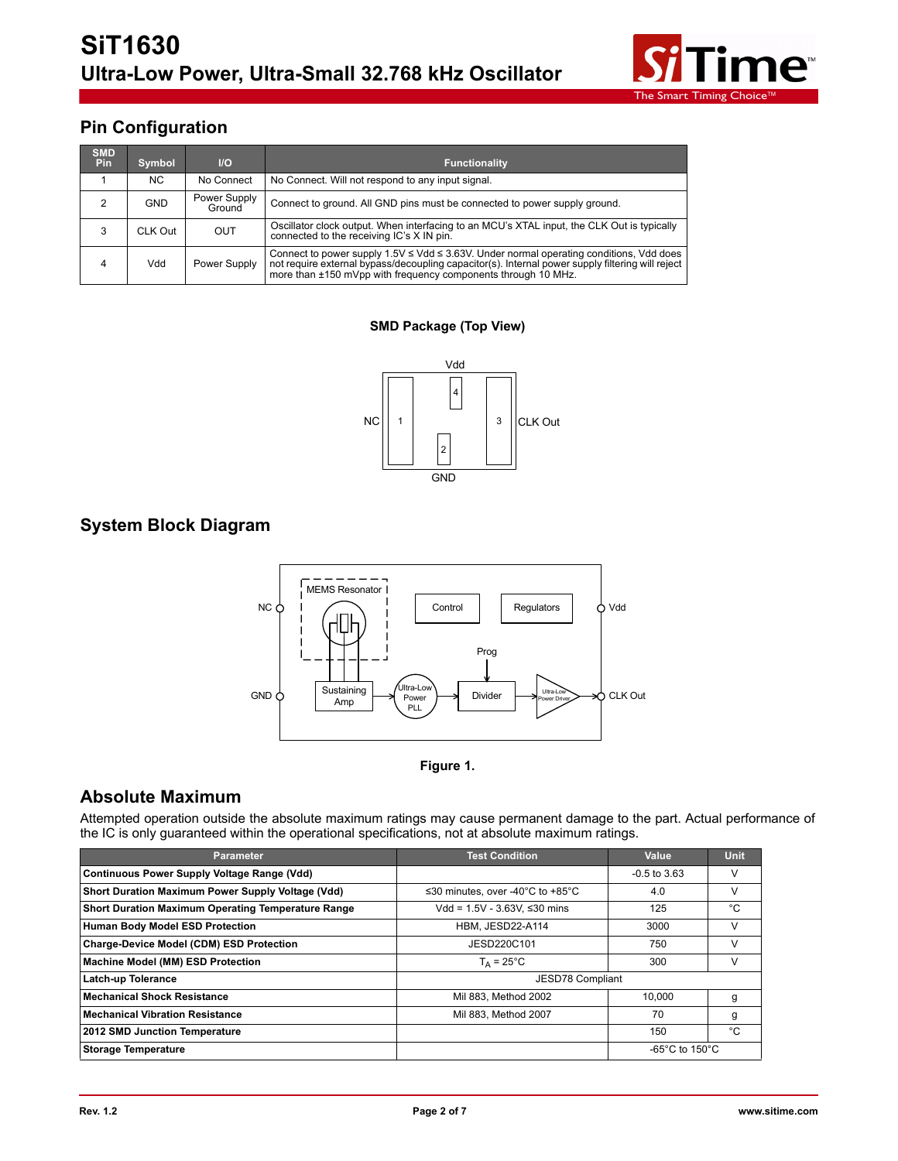

# **Pin Configuration**

| <b>SMD</b><br><b>Pin</b> | Symbol  | $II$                   | <b>Functionality</b>                                                                                                                                                                                                                                                  |
|--------------------------|---------|------------------------|-----------------------------------------------------------------------------------------------------------------------------------------------------------------------------------------------------------------------------------------------------------------------|
|                          | NC.     | No Connect             | No Connect. Will not respond to any input signal.                                                                                                                                                                                                                     |
| 2                        | GND     | Power Supply<br>Ground | Connect to ground. All GND pins must be connected to power supply ground.                                                                                                                                                                                             |
| 3                        | CLK Out | <b>OUT</b>             | Oscillator clock output. When interfacing to an MCU's XTAL input, the CLK Out is typically<br>connected to the receiving IC's X IN pin.                                                                                                                               |
| 4                        | Vdd     | Power Supply           | Connect to power supply $1.5V \leq Vdd \leq 3.63V$ . Under normal operating conditions, Vdd does<br>not require external bypass/decoupling capacitor(s). Internal power supply filtering will reject<br>more than ±150 mVpp with frequency components through 10 MHz. |

### **SMD Package (Top View)**



## **System Block Diagram**





# **Absolute Maximum**

Attempted operation outside the absolute maximum ratings may cause permanent damage to the part. Actual performance of the IC is only guaranteed within the operational specifications, not at absolute maximum ratings.

| <b>Parameter</b>                                          | <b>Test Condition</b>                                  | Value                                | <b>Unit</b> |
|-----------------------------------------------------------|--------------------------------------------------------|--------------------------------------|-------------|
| <b>Continuous Power Supply Voltage Range (Vdd)</b>        |                                                        | $-0.5$ to 3.63                       | v           |
| Short Duration Maximum Power Supply Voltage (Vdd)         | ≤30 minutes, over -40 $^{\circ}$ C to +85 $^{\circ}$ C | 4.0                                  | V           |
| <b>Short Duration Maximum Operating Temperature Range</b> | Vdd = $1.5V - 3.63V$ . ≤30 mins                        | 125                                  | °C          |
| <b>Human Body Model ESD Protection</b>                    | HBM, JESD22-A114                                       | 3000                                 | V           |
| Charge-Device Model (CDM) ESD Protection                  | JESD220C101                                            | 750                                  | V           |
| Machine Model (MM) ESD Protection                         | $T_A = 25^{\circ}C$                                    | 300                                  | v           |
| Latch-up Tolerance                                        | JESD78 Compliant                                       |                                      |             |
| <b>Mechanical Shock Resistance</b>                        | Mil 883, Method 2002                                   | 10.000                               | g           |
| <b>Mechanical Vibration Resistance</b>                    | Mil 883. Method 2007                                   | 70                                   | g           |
| 2012 SMD Junction Temperature                             |                                                        | 150                                  | °C          |
| <b>Storage Temperature</b>                                |                                                        | -65 $^{\circ}$ C to 150 $^{\circ}$ C |             |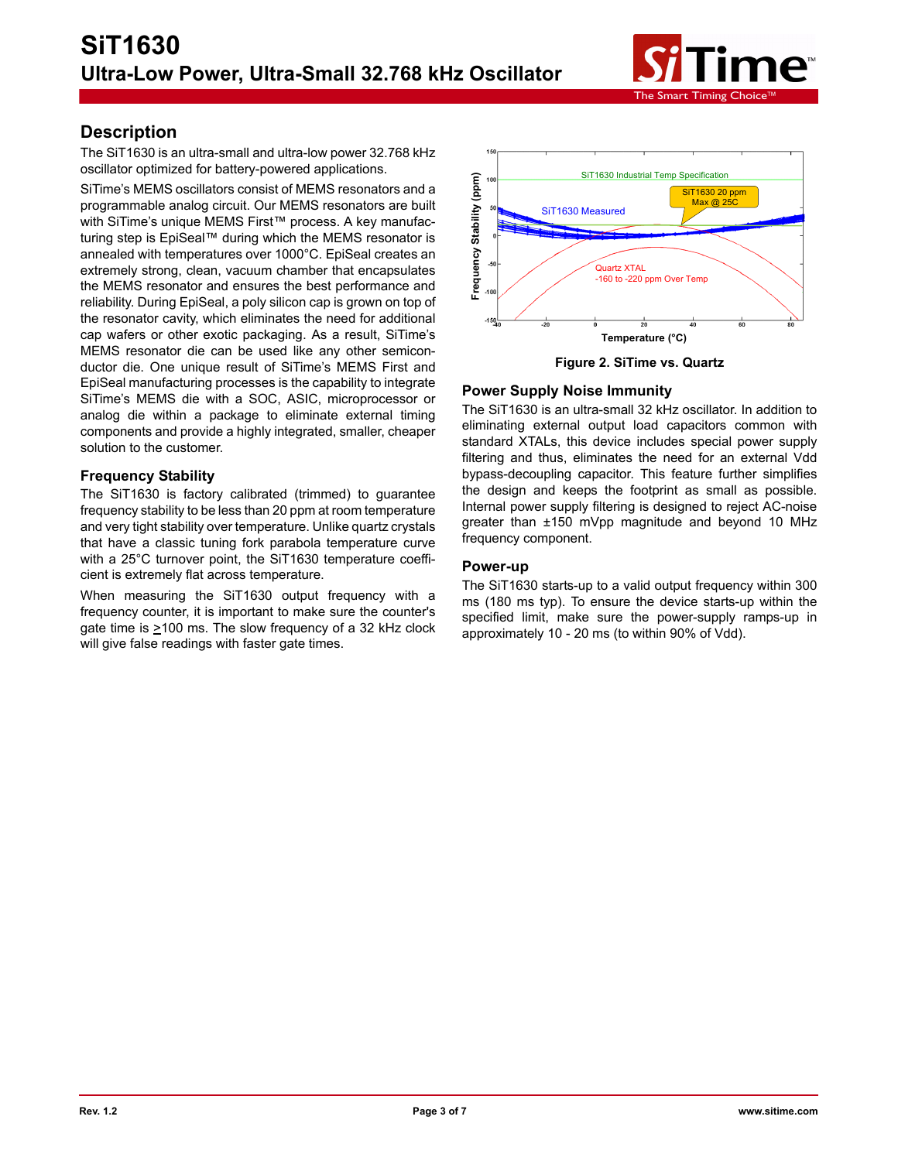

## **Description**

The SiT1630 is an ultra-small and ultra-low power 32.768 kHz oscillator optimized for battery-powered applications.

SiTime's MEMS oscillators consist of MEMS resonators and a programmable analog circuit. Our MEMS resonators are built with SiTime's unique MEMS First™ process. A key manufacturing step is EpiSeal™ during which the MEMS resonator is annealed with temperatures over 1000°C. EpiSeal creates an extremely strong, clean, vacuum chamber that encapsulates the MEMS resonator and ensures the best performance and reliability. During EpiSeal, a poly silicon cap is grown on top of the resonator cavity, which eliminates the need for additional cap wafers or other exotic packaging. As a result, SiTime's MEMS resonator die can be used like any other semiconductor die. One unique result of SiTime's MEMS First and EpiSeal manufacturing processes is the capability to integrate SiTime's MEMS die with a SOC, ASIC, microprocessor or analog die within a package to eliminate external timing components and provide a highly integrated, smaller, cheaper solution to the customer.

### **Frequency Stability**

The SiT1630 is factory calibrated (trimmed) to guarantee frequency stability to be less than 20 ppm at room temperature and very tight stability over temperature. Unlike quartz crystals that have a classic tuning fork parabola temperature curve with a 25°C turnover point, the SiT1630 temperature coefficient is extremely flat across temperature.

When measuring the SiT1630 output frequency with a frequency counter, it is important to make sure the counter's gate time is >100 ms. The slow frequency of a 32 kHz clock will give false readings with faster gate times.



**Figure 2. SiTime vs. Quartz**

### **Power Supply Noise Immunity**

The SiT1630 is an ultra-small 32 kHz oscillator. In addition to eliminating external output load capacitors common with standard XTALs, this device includes special power supply filtering and thus, eliminates the need for an external Vdd bypass-decoupling capacitor. This feature further simplifies the design and keeps the footprint as small as possible. Internal power supply filtering is designed to reject AC-noise greater than ±150 mVpp magnitude and beyond 10 MHz frequency component.

#### **Power-up**

The SiT1630 starts-up to a valid output frequency within 300 ms (180 ms typ). To ensure the device starts-up within the specified limit, make sure the power-supply ramps-up in approximately 10 - 20 ms (to within 90% of Vdd).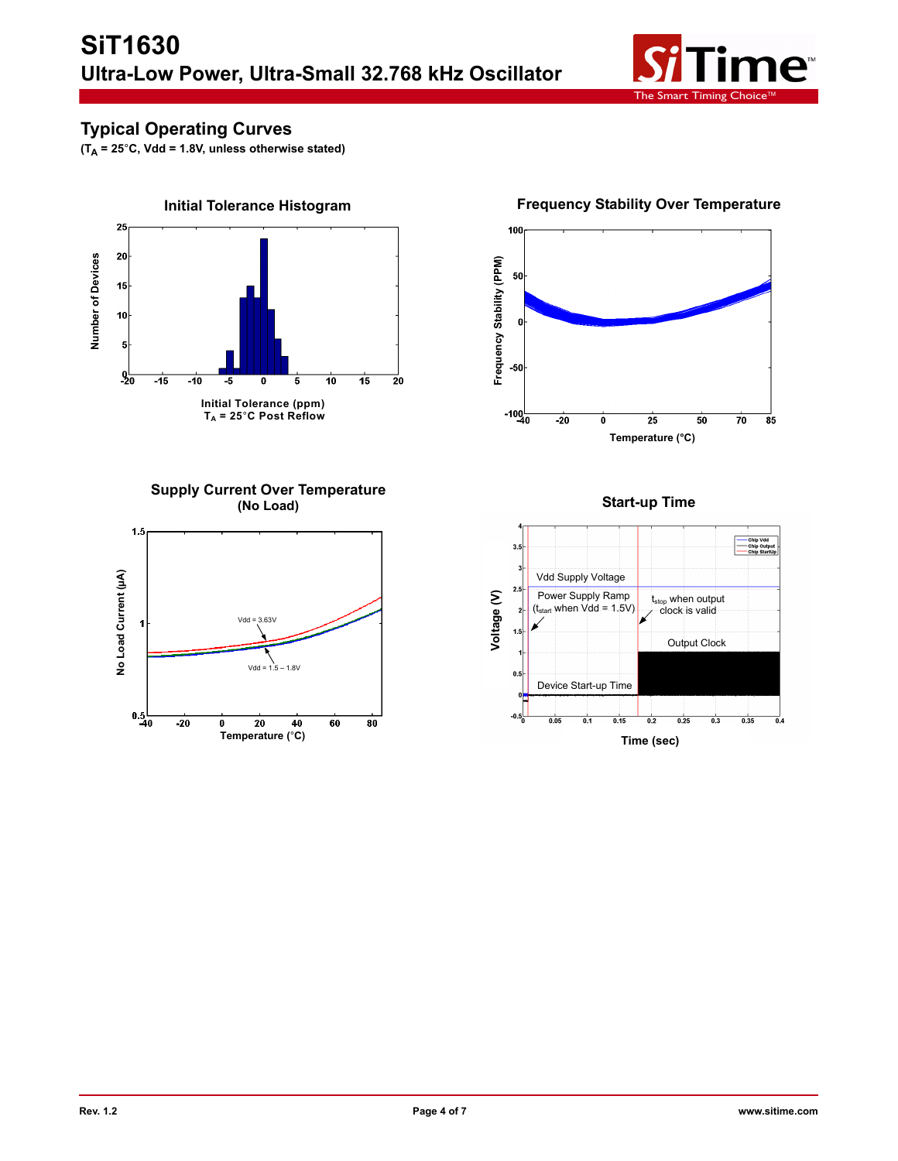

# **Typical Operating Curves**

**(TA = 25**°**C, Vdd = 1.8V, unless otherwise stated)**



**Supply Current Over Temperature (No Load)**



100 Frequency Stability (PPM) **Frequency Stability (PPM)** 50  $\mathbf{0}$ -50  $-100$  $\overline{25}$  $\overline{50}$  $\frac{1}{70}$  $-20$  $\overline{\overline{85}}$  $\overline{\mathfrak{o}}$ **Temperature (°C)**

**Frequency Stability Over Temperature**

**Start-up Time**

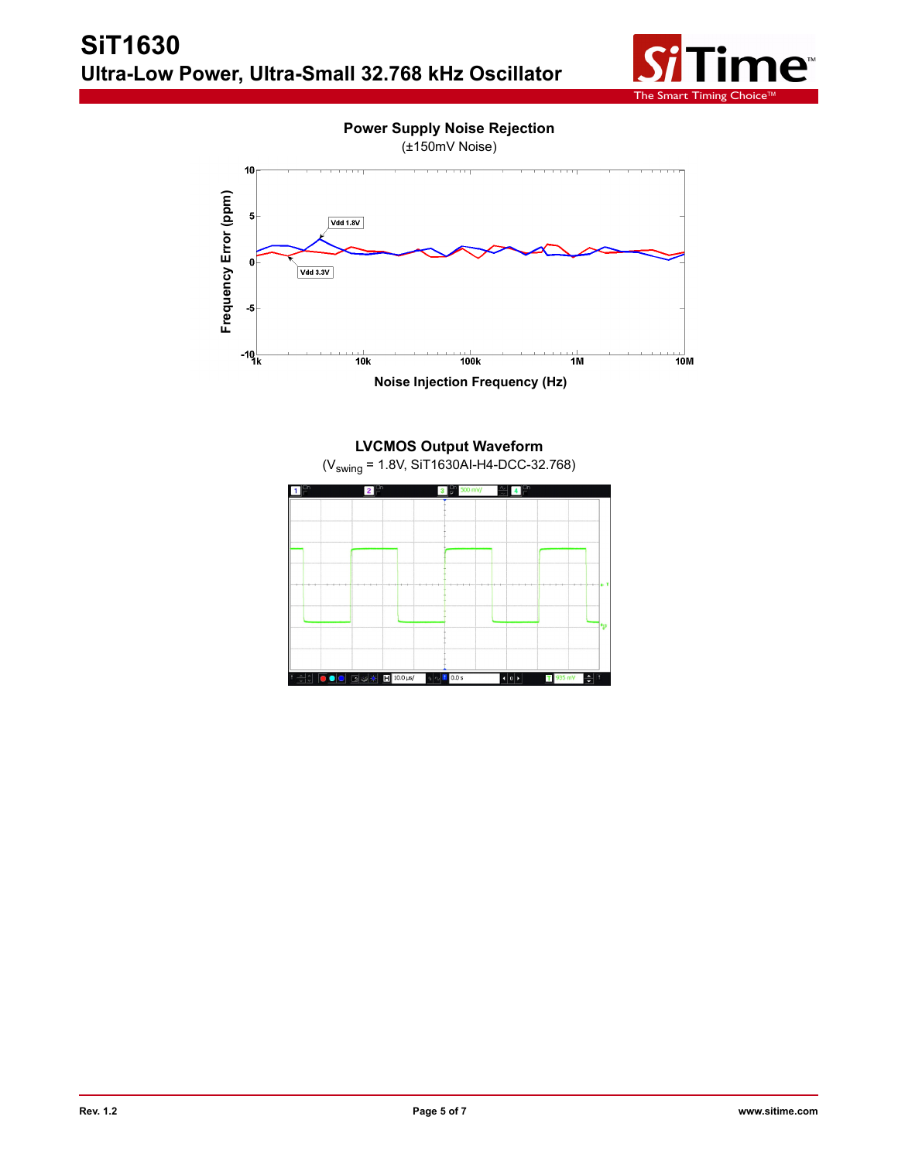



**LVCMOS Output Waveform**  (Vswing = 1.8V, SiT1630AI-H4-DCC-32.768)

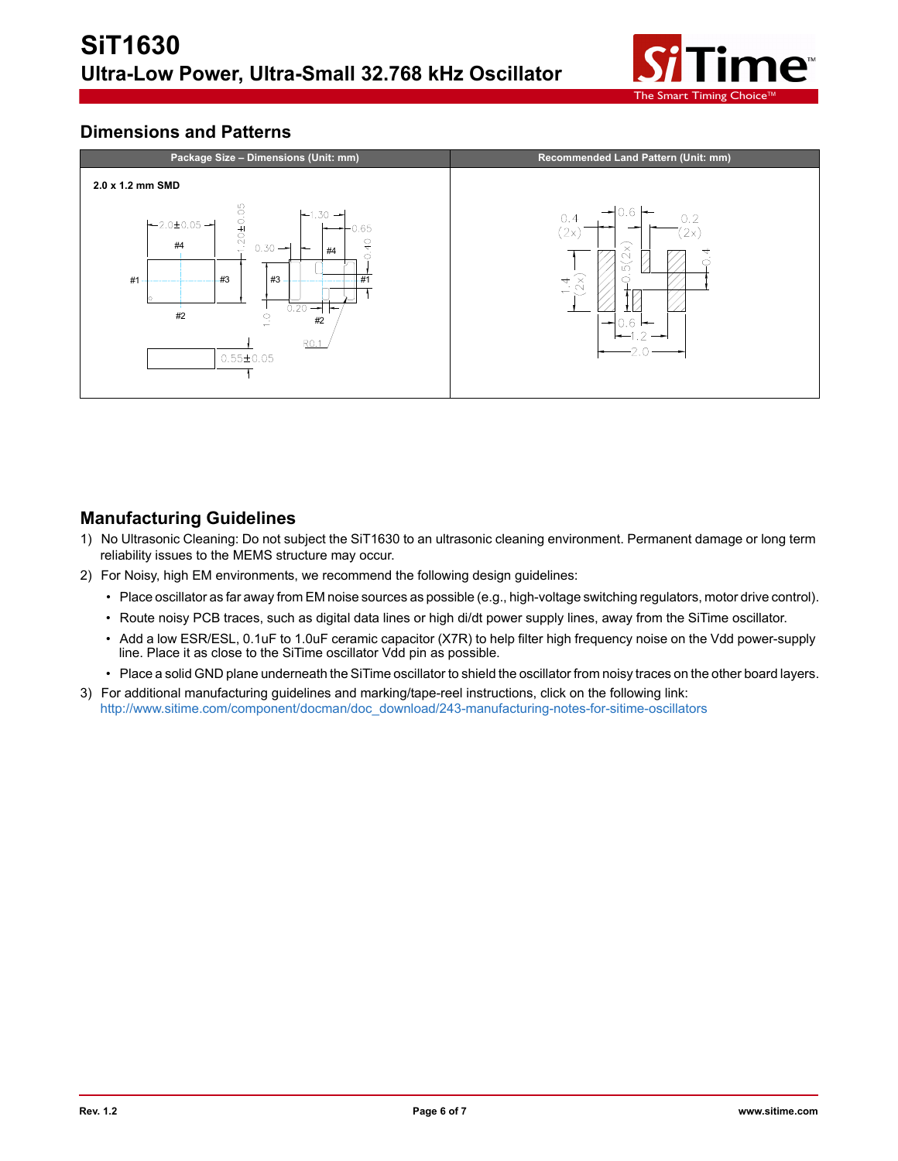

## **Dimensions and Patterns**



## **Manufacturing Guidelines**

- 1) No Ultrasonic Cleaning: Do not subject the SiT1630 to an ultrasonic cleaning environment. Permanent damage or long term reliability issues to the MEMS structure may occur.
- 2) For Noisy, high EM environments, we recommend the following design guidelines:
	- Place oscillator as far away from EM noise sources as possible (e.g., high-voltage switching regulators, motor drive control).
	- Route noisy PCB traces, such as digital data lines or high di/dt power supply lines, away from the SiTime oscillator.
	- Add a low ESR/ESL, 0.1uF to 1.0uF ceramic capacitor (X7R) to help filter high frequency noise on the Vdd power-supply line. Place it as close to the SiTime oscillator Vdd pin as possible.
	- Place a solid GND plane underneath the SiTime oscillator to shield the oscillator from noisy traces on the other board layers.
- 3) For additional manufacturing guidelines and marking/tape-reel instructions, click on the following link: [http://www.sitime.com/component/docman/doc\\_download/243-manufacturing-notes-for-sitime-oscillators](http://www.sitime.com/component/docman/doc_download/243-manufacturing-notes-for-sitime-oscillators)